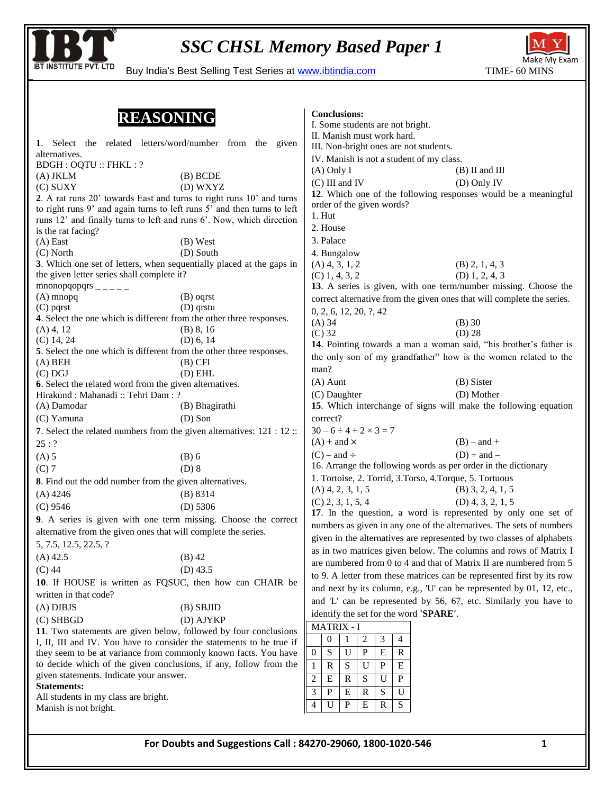

**Conclusions:** 

BUY INSTITUTE PVT. LTD Buy India's Best Selling Test Series at www.ibtindia.com TIME- 60 MINS



#### **REASONING**

| <u>UZIJOTILI I U</u>                                                    |                                                             | I. Some students are not bright.                                                                                                      |                     |  |  |
|-------------------------------------------------------------------------|-------------------------------------------------------------|---------------------------------------------------------------------------------------------------------------------------------------|---------------------|--|--|
| 1. Select the related letters/word/number from the given                |                                                             | II. Manish must work hard.                                                                                                            |                     |  |  |
| alternatives.                                                           |                                                             | III. Non-bright ones are not students.                                                                                                |                     |  |  |
| <b>BDGH: OQTU:: FHKL: ?</b>                                             |                                                             | IV. Manish is not a student of my class.                                                                                              |                     |  |  |
| $(A)$ JKLM                                                              | (B) BCDE                                                    | $(A)$ Only I                                                                                                                          | $(B)$ II and III    |  |  |
| (C) SUXY                                                                | (D) WXYZ                                                    | $(C)$ III and IV                                                                                                                      | (D) Only IV         |  |  |
| 2. A rat runs 20' towards East and turns to right runs 10' and turns    |                                                             | 12. Which one of the following responses would be a meaningful                                                                        |                     |  |  |
| to right runs 9' and again turns to left runs 5' and then turns to left |                                                             | order of the given words?                                                                                                             |                     |  |  |
| runs 12' and finally turns to left and runs 6'. Now, which direction    |                                                             | $1.$ Hut                                                                                                                              |                     |  |  |
| is the rat facing?                                                      |                                                             | 2. House                                                                                                                              |                     |  |  |
| $(A)$ East                                                              | $(B)$ West                                                  | 3. Palace                                                                                                                             |                     |  |  |
| $(C)$ North                                                             | (D) South                                                   | 4. Bungalow                                                                                                                           |                     |  |  |
| 3. Which one set of letters, when sequentially placed at the gaps in    |                                                             | $(A)$ 4, 3, 1, 2                                                                                                                      | $(B)$ 2, 1, 4, 3    |  |  |
| the given letter series shall complete it?                              |                                                             | $(C)$ 1, 4, 3, 2                                                                                                                      | $(D)$ 1, 2, 4, 3    |  |  |
| $mnonopqopqrs$ <sub>----</sub>                                          |                                                             | 13. A series is given, with one term/number missing. Choose the                                                                       |                     |  |  |
| $(A)$ mnopq                                                             | (B) oqrst                                                   | correct alternative from the given ones that will complete the series.                                                                |                     |  |  |
| $(C)$ pqrst                                                             | $(D)$ qrstu                                                 |                                                                                                                                       |                     |  |  |
| 4. Select the one which is different from the other three responses.    |                                                             | 0, 2, 6, 12, 20, ?, 42<br>$(A)$ 34                                                                                                    | $(B)$ 30            |  |  |
| $(A)$ 4, 12                                                             | (B) 8, 16                                                   | $(C)$ 32                                                                                                                              | $(D)$ 28            |  |  |
| $(C)$ 14, 24                                                            | (D) 6, 14                                                   | 14. Pointing towards a man a woman said, "his brother's father is                                                                     |                     |  |  |
| 5. Select the one which is different from the other three responses.    |                                                             |                                                                                                                                       |                     |  |  |
| $(A)$ BEH                                                               | $(B)$ CFI                                                   | the only son of my grandfather" how is the women related to the                                                                       |                     |  |  |
| $(C)$ DGJ                                                               | $(D)$ EHL                                                   | man?                                                                                                                                  |                     |  |  |
| 6. Select the related word from the given alternatives.                 |                                                             | $(A)$ Aunt                                                                                                                            | (B) Sister          |  |  |
| Hirakund: Mahanadi: Tehri Dam: ?                                        |                                                             | (C) Daughter                                                                                                                          | (D) Mother          |  |  |
| (A) Damodar                                                             | (B) Bhagirathi                                              | 15. Which interchange of signs will make the following equation                                                                       |                     |  |  |
| (C) Yamuna                                                              | $(D)$ Son                                                   | correct?                                                                                                                              |                     |  |  |
| 7. Select the related numbers from the given alternatives: 121 : 12 ::  |                                                             | $30 - 6 \div 4 + 2 \times 3 = 7$                                                                                                      |                     |  |  |
| 25:?                                                                    |                                                             | $(A)$ + and $\times$                                                                                                                  | $(B)$ – and +       |  |  |
| $(A)$ 5                                                                 | $(B)$ 6                                                     | $(C)$ – and ÷                                                                                                                         | $(D) + and -$       |  |  |
| $(C)$ 7                                                                 | $(D)$ 8                                                     | 16. Arrange the following words as per order in the dictionary                                                                        |                     |  |  |
|                                                                         |                                                             | 1. Tortoise, 2. Torrid, 3. Torso, 4. Torque, 5. Tortuous                                                                              |                     |  |  |
| 8. Find out the odd number from the given alternatives.                 |                                                             | $(A)$ 4, 2, 3, 1, 5                                                                                                                   | $(B)$ 3, 2, 4, 1, 5 |  |  |
| $(A)$ 4246                                                              | (B) 8314                                                    | $(C)$ 2, 3, 1, 5, 4                                                                                                                   | $(D)$ 4, 3, 2, 1, 5 |  |  |
| $(C)$ 9546                                                              | $(D)$ 5306                                                  |                                                                                                                                       |                     |  |  |
| 9. A series is given with one term missing. Choose the correct          |                                                             | 17. In the question, a word is represented by only one set of<br>numbers as given in any one of the alternatives. The sets of numbers |                     |  |  |
| alternative from the given ones that will complete the series.          |                                                             | given in the alternatives are represented by two classes of alphabets                                                                 |                     |  |  |
| 5, 7.5, 12.5, 22.5, ?                                                   |                                                             |                                                                                                                                       |                     |  |  |
| $(A)$ 42.5                                                              | $(B)$ 42                                                    | as in two matrices given below. The columns and rows of Matrix I                                                                      |                     |  |  |
| $(C)$ 44                                                                | $(D)$ 43.5                                                  | are numbered from 0 to 4 and that of Matrix II are numbered from 5                                                                    |                     |  |  |
| 10. If HOUSE is written as FQSUC, then how can CHAIR be                 |                                                             | to 9. A letter from these matrices can be represented first by its row                                                                |                     |  |  |
|                                                                         |                                                             | and next by its column, e.g., 'U' can be represented by 01, 12, etc.,                                                                 |                     |  |  |
| written in that code?                                                   |                                                             | and 'L' can be represented by 56, 67, etc. Similarly you have to                                                                      |                     |  |  |
| $(A)$ DIBJS                                                             | $(B)$ SBJID                                                 | identify the set for the word 'SPARE'.                                                                                                |                     |  |  |
| $(C)$ SHBGD                                                             | (D) AJYKP                                                   | <b>MATRIX - I</b>                                                                                                                     |                     |  |  |
| 11. Two statements are given below, followed by four conclusions        |                                                             | 3<br>$\boldsymbol{0}$<br>2<br>1<br>4                                                                                                  |                     |  |  |
| I, II, III and IV. You have to consider the statements to be true if    |                                                             |                                                                                                                                       |                     |  |  |
| they seem to be at variance from commonly known facts. You have         |                                                             | S<br>U<br>P<br>Ε<br>$\overline{0}$<br>R                                                                                               |                     |  |  |
| to decide which of the given conclusions, if any, follow from the       |                                                             | U<br>$\mathbf{1}$<br>R<br>S<br>P<br>Ε                                                                                                 |                     |  |  |
| given statements. Indicate your answer.                                 |                                                             | $\, {\bf P}$<br>2<br>E<br>S<br>R<br>U                                                                                                 |                     |  |  |
| <b>Statements:</b>                                                      |                                                             | 3<br>P<br>Ε<br>R<br>S<br>U                                                                                                            |                     |  |  |
| All students in my class are bright.                                    |                                                             | P<br>Ε<br>$\mathbf R$<br>S<br>4<br>U                                                                                                  |                     |  |  |
| Manish is not bright.                                                   |                                                             |                                                                                                                                       |                     |  |  |
|                                                                         |                                                             |                                                                                                                                       |                     |  |  |
|                                                                         |                                                             |                                                                                                                                       |                     |  |  |
|                                                                         | For Doubts and Suggestions Call: 84270-29060, 1800-1020-546 |                                                                                                                                       | 1                   |  |  |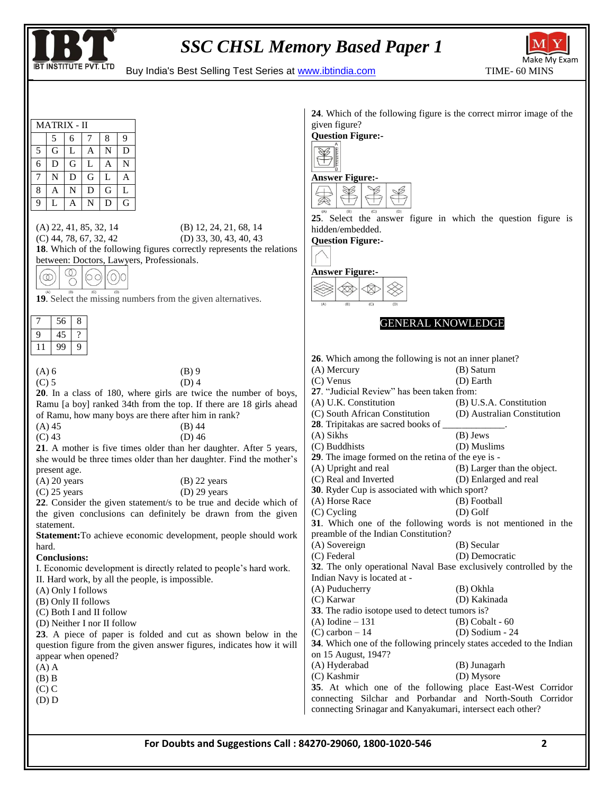



**BT INSTITUTE PVT. LTD** Buy India's Best Selling Test Series at www.ibtindia.com

|                                                                                                                                                                                                                                                                                                                                                             | 24. Which of the following figure is the correct mirror image of the                                                                                                              |  |  |  |  |
|-------------------------------------------------------------------------------------------------------------------------------------------------------------------------------------------------------------------------------------------------------------------------------------------------------------------------------------------------------------|-----------------------------------------------------------------------------------------------------------------------------------------------------------------------------------|--|--|--|--|
| <b>MATRIX - II</b>                                                                                                                                                                                                                                                                                                                                          | given figure?                                                                                                                                                                     |  |  |  |  |
| 9<br>5<br>6<br>8<br>7                                                                                                                                                                                                                                                                                                                                       | <b>Question Figure:-</b>                                                                                                                                                          |  |  |  |  |
| 5<br>G<br>$\mathbf{A}$<br>$\mathbf N$<br>D<br>L                                                                                                                                                                                                                                                                                                             |                                                                                                                                                                                   |  |  |  |  |
| $\mathbf N$<br>6<br>G<br>L<br>D<br>A                                                                                                                                                                                                                                                                                                                        |                                                                                                                                                                                   |  |  |  |  |
| 7<br>D<br>G<br>$\mathbf{L}$<br>$\mathbf{A}$<br>N                                                                                                                                                                                                                                                                                                            | <b>Answer Figure:-</b>                                                                                                                                                            |  |  |  |  |
| $8\,$<br>G<br>L<br>A<br>N<br>D                                                                                                                                                                                                                                                                                                                              | $\frac{1}{\sqrt{2}}$                                                                                                                                                              |  |  |  |  |
| $\overline{9}$<br>$\mathbf G$<br>$\mathbf N$<br>D<br>L<br>A                                                                                                                                                                                                                                                                                                 |                                                                                                                                                                                   |  |  |  |  |
| (A) 22, 41, 85, 32, 14<br>$(B)$ 12, 24, 21, 68, 14<br>$(C)$ 44, 78, 67, 32, 42<br>$(D)$ 33, 30, 43, 40, 43<br>18. Which of the following figures correctly represents the relations<br>between: Doctors, Lawyers, Professionals.<br>$\circledcirc$<br>$^{\circ}$<br>O(O)<br>ЮO<br>$\bigcirc$<br>19. Select the missing numbers from the given alternatives. | 25. Select the answer figure in which the question figure is<br>hidden/embedded.<br><b>Question Figure:-</b><br><b>Answer Figure:-</b><br>$\bigotimes$<br>╳╳<br>(A)<br>(B)<br>(C) |  |  |  |  |
| 7<br>56<br>8<br>9<br>$\overline{\mathcal{E}}$<br>45                                                                                                                                                                                                                                                                                                         | <b>GENERAL KNOWLEDGE</b>                                                                                                                                                          |  |  |  |  |
| 11<br>99<br>9                                                                                                                                                                                                                                                                                                                                               |                                                                                                                                                                                   |  |  |  |  |
|                                                                                                                                                                                                                                                                                                                                                             | 26. Which among the following is not an inner planet?                                                                                                                             |  |  |  |  |
| $(A)$ 6<br>$(B)$ 9<br>$(C)$ 5<br>$(D)$ 4                                                                                                                                                                                                                                                                                                                    | (B) Saturn<br>$(A)$ Mercury<br>(D) Earth<br>$(C)$ Venus                                                                                                                           |  |  |  |  |
| 20. In a class of 180, where girls are twice the number of boys,                                                                                                                                                                                                                                                                                            | 27. "Judicial Review" has been taken from:                                                                                                                                        |  |  |  |  |
| Ramu [a boy] ranked 34th from the top. If there are 18 girls ahead                                                                                                                                                                                                                                                                                          | (A) U.K. Constitution<br>(B) U.S.A. Constitution                                                                                                                                  |  |  |  |  |
| of Ramu, how many boys are there after him in rank?                                                                                                                                                                                                                                                                                                         | (C) South African Constitution<br>(D) Australian Constitution                                                                                                                     |  |  |  |  |
| $(A)$ 45<br>$(B)$ 44                                                                                                                                                                                                                                                                                                                                        | 28. Tripitakas are sacred books of __                                                                                                                                             |  |  |  |  |
| $(C)$ 43<br>$(D)$ 46                                                                                                                                                                                                                                                                                                                                        | $(B)$ Jews<br>(A) Sikhs<br>(C) Buddhists<br>(D) Muslims                                                                                                                           |  |  |  |  |
| 21. A mother is five times older than her daughter. After 5 years,<br>she would be three times older than her daughter. Find the mother's                                                                                                                                                                                                                   | 29. The image formed on the retina of the eye is -                                                                                                                                |  |  |  |  |
| present age.                                                                                                                                                                                                                                                                                                                                                | (A) Upright and real<br>(B) Larger than the object.                                                                                                                               |  |  |  |  |
| $(A)$ 20 years<br>$(B)$ 22 years                                                                                                                                                                                                                                                                                                                            | (C) Real and Inverted<br>(D) Enlarged and real                                                                                                                                    |  |  |  |  |
| $(D)$ 29 years<br>$(C)$ 25 years                                                                                                                                                                                                                                                                                                                            | 30. Ryder Cup is associated with which sport?                                                                                                                                     |  |  |  |  |
| 22. Consider the given statement/s to be true and decide which of                                                                                                                                                                                                                                                                                           | (A) Horse Race<br>(B) Football                                                                                                                                                    |  |  |  |  |
| the given conclusions can definitely be drawn from the given<br>statement.                                                                                                                                                                                                                                                                                  | $(D)$ Golf<br>$(C)$ Cycling<br>31. Which one of the following words is not mentioned in the                                                                                       |  |  |  |  |
| Statement: To achieve economic development, people should work                                                                                                                                                                                                                                                                                              | preamble of the Indian Constitution?                                                                                                                                              |  |  |  |  |
| hard.                                                                                                                                                                                                                                                                                                                                                       | (A) Sovereign<br>(B) Secular                                                                                                                                                      |  |  |  |  |
| <b>Conclusions:</b>                                                                                                                                                                                                                                                                                                                                         | (D) Democratic<br>(C) Federal                                                                                                                                                     |  |  |  |  |
| I. Economic development is directly related to people's hard work.                                                                                                                                                                                                                                                                                          | 32. The only operational Naval Base exclusively controlled by the                                                                                                                 |  |  |  |  |
| II. Hard work, by all the people, is impossible.                                                                                                                                                                                                                                                                                                            | Indian Navy is located at -<br>(A) Puducherry<br>(B) Okhla                                                                                                                        |  |  |  |  |
| (A) Only I follows<br>(B) Only II follows                                                                                                                                                                                                                                                                                                                   | (C) Karwar<br>(D) Kakinada                                                                                                                                                        |  |  |  |  |
| (C) Both I and II follow                                                                                                                                                                                                                                                                                                                                    | 33. The radio isotope used to detect tumors is?                                                                                                                                   |  |  |  |  |
| (D) Neither I nor II follow                                                                                                                                                                                                                                                                                                                                 | $(A)$ Iodine – 131<br>$(B)$ Cobalt - 60                                                                                                                                           |  |  |  |  |
| 23. A piece of paper is folded and cut as shown below in the                                                                                                                                                                                                                                                                                                | $(C)$ carbon $-14$<br>(D) Sodium - 24                                                                                                                                             |  |  |  |  |
| question figure from the given answer figures, indicates how it will                                                                                                                                                                                                                                                                                        | 34. Which one of the following princely states acceded to the Indian<br>on 15 August, 1947?                                                                                       |  |  |  |  |
| appear when opened?<br>$(A)$ A                                                                                                                                                                                                                                                                                                                              | (A) Hyderabad<br>(B) Junagarh                                                                                                                                                     |  |  |  |  |
| $(B)$ B                                                                                                                                                                                                                                                                                                                                                     | (C) Kashmir<br>(D) Mysore                                                                                                                                                         |  |  |  |  |
| $(C)$ C                                                                                                                                                                                                                                                                                                                                                     | 35. At which one of the following place East-West Corridor                                                                                                                        |  |  |  |  |
| $(D)$ $D$                                                                                                                                                                                                                                                                                                                                                   | connecting Silchar and Porbandar and North-South Corridor                                                                                                                         |  |  |  |  |
|                                                                                                                                                                                                                                                                                                                                                             | connecting Srinagar and Kanyakumari, intersect each other?                                                                                                                        |  |  |  |  |
|                                                                                                                                                                                                                                                                                                                                                             |                                                                                                                                                                                   |  |  |  |  |
| For Doubts and Suggestions Call: 84270-29060, 1800-1020-546<br>$\mathbf{2}$                                                                                                                                                                                                                                                                                 |                                                                                                                                                                                   |  |  |  |  |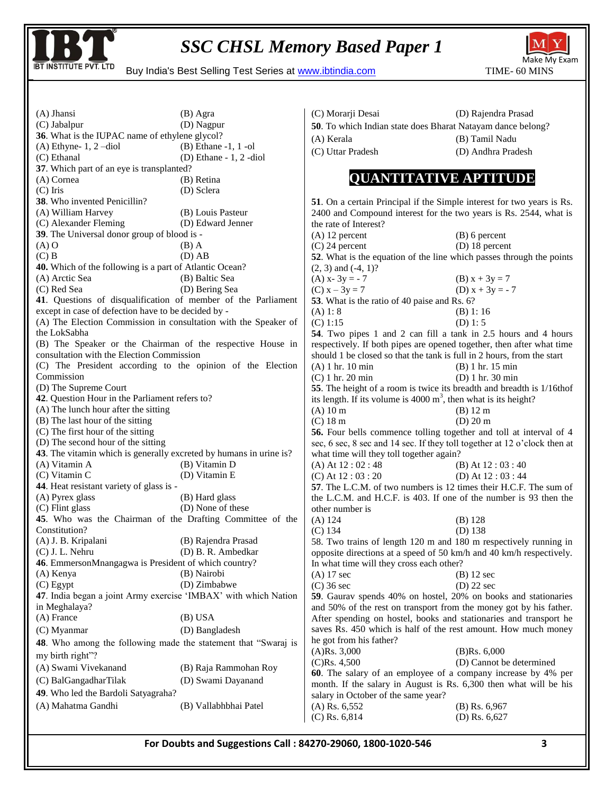

BUY INSTITUTE PVT. LTD Buy India's Best Selling Test Series at www.ibtindia.com TIME- 60 MINS



(A) Jhansi (B) Agra (C) Jabalpur (D) Nagpur **36**. What is the IUPAC name of ethylene glycol?<br>(A) Ethyne-1, 2 -diol (B) Ethane -1, 1 -ol  $(A)$  Ethyne- 1, 2 -diol (C) Ethanal (D) Ethane - 1, 2 -diol **37**. Which part of an eye is transplanted? (A) Cornea (B) Retina (C) Iris (D) Sclera **38**. Who invented Penicillin? (A) William Harvey (B) Louis Pasteur<br>
(C) Alexander Fleming (D) Edward Jenner  $(C)$  Alexander Fleming **39**. The Universal donor group of blood is -  $(A) O$  (B) A  $(C)$  B  $(D)$  AB **40.** Which of the following is a part of Atlantic Ocean? (A) Arctic Sea (B) Baltic Sea (C) Red Sea (D) Bering Sea **41**. Questions of disqualification of member of the Parliament except in case of defection have to be decided by - (A) The Election Commission in consultation with the Speaker of the LokSabha (B) The Speaker or the Chairman of the respective House in consultation with the Election Commission (C) The President according to the opinion of the Election Commission (D) The Supreme Court **42**. Question Hour in the Parliament refers to? (A) The lunch hour after the sitting (B) The last hour of the sitting (C) The first hour of the sitting (D) The second hour of the sitting **43**. The vitamin which is generally excreted by humans in urine is?<br>(A) Vitamin A (B) Vitamin D  $(A)$  Vitamin A (C) Vitamin C (D) Vitamin E **44**. Heat resistant variety of glass is - (A) Pyrex glass (B) Hard glass (C) Flint glass (D) None of these **45**. Who was the Chairman of the Drafting Committee of the Constitution? (A) J. B. Kripalani (B) Rajendra Prasad<br>
(C) J. L. Nehru (D) B. R. Ambedkar (D) B. R. Ambedkar **46**. EmmersonMnangagwa is President of which country? (A) Kenya (B) Nairobi (C) Egypt (D) Zimbabwe **47**. India began a joint Army exercise "IMBAX" with which Nation in Meghalaya? (A) France (B) USA (C) Myanmar (D) Bangladesh **48**. Who among the following made the statement that "Swaraj is my birth right"? (A) Swami Vivekanand (B) Raja Rammohan Roy (C) BalGangadharTilak (D) Swami Dayanand **49**. Who led the Bardoli Satyagraha? (A) Mahatma Gandhi (B) Vallabhbhai Patel (C) Morarji Desai (D) Rajendra Prasad **50**. To which Indian state does Bharat Natayam dance belong? (A) Kerala (B) Tamil Nadu (C) Uttar Pradesh (D) Andhra Pradesh **QUANTITATIVE APTITUDE 51**. On a certain Principal if the Simple interest for two years is Rs. 2400 and Compound interest for the two years is Rs. 2544, what is the rate of Interest? (A) 12 percent (B) 6 percent (C) 24 percent (D) 18 percent **52**. What is the equation of the line which passes through the points  $(2, 3)$  and  $(-4, 1)$ ? (A)  $x - 3y = -7$  (B)  $x + 3y = 7$ (C)  $x - 3y = 7$  (D)  $x + 3y = -7$ **53**. What is the ratio of 40 paise and Rs. 6?  $(A) 1: 8$  (B) 1: 16  $(C) 1:15$  (D) 1: 5 **54**. Two pipes 1 and 2 can fill a tank in 2.5 hours and 4 hours respectively. If both pipes are opened together, then after what time should 1 be closed so that the tank is full in 2 hours, from the start (A) 1 hr. 10 min (B) 1 hr. 15 min (A) 1 hr. 10 min (C) 1 hr. 20 min (C) 1 hr. 20 min (D) 1 hr. 30 min **55**. The height of a room is twice its breadth and breadth is 1/16thof its length. If its volume is 4000  $m<sup>3</sup>$ , then what is its height? (A) 10 m (B) 12 m (C) 18 m (D) 20 m **56.** Four bells commence tolling together and toll at interval of 4 sec, 6 sec, 8 sec and 14 sec. If they toll together at 12 o'clock then at what time will they toll together again? (A) At  $12:02:48$  (B) At  $12:03:40$ (C) At  $12:03:20$  (D) At  $12:03:44$ **57**. The L.C.M. of two numbers is 12 times their H.C.F. The sum of the L.C.M. and H.C.F. is 403. If one of the number is 93 then the other number is (A) 124 (B) 128<br>(C) 134 (D) 138  $(C)$  134 58. Two trains of length 120 m and 180 m respectively running in opposite directions at a speed of 50 km/h and 40 km/h respectively. In what time will they cross each other? (A) 17 sec (B) 12 sec (C) 36 sec (D) 22 sec **59**. Gaurav spends 40% on hostel, 20% on books and stationaries and 50% of the rest on transport from the money got by his father. After spending on hostel, books and stationaries and transport he saves Rs. 450 which is half of the rest amount. How much money he got from his father? (A)Rs. 3,000 (B)Rs. 6,000 (C)Rs. 4,500 (D) Cannot be determined **60**. The salary of an employee of a company increase by 4% per month. If the salary in August is Rs. 6,300 then what will be his salary in October of the same year? (A) Rs. 6,552 (B) Rs. 6,967 (C) Rs. 6,814 (D) Rs. 6,627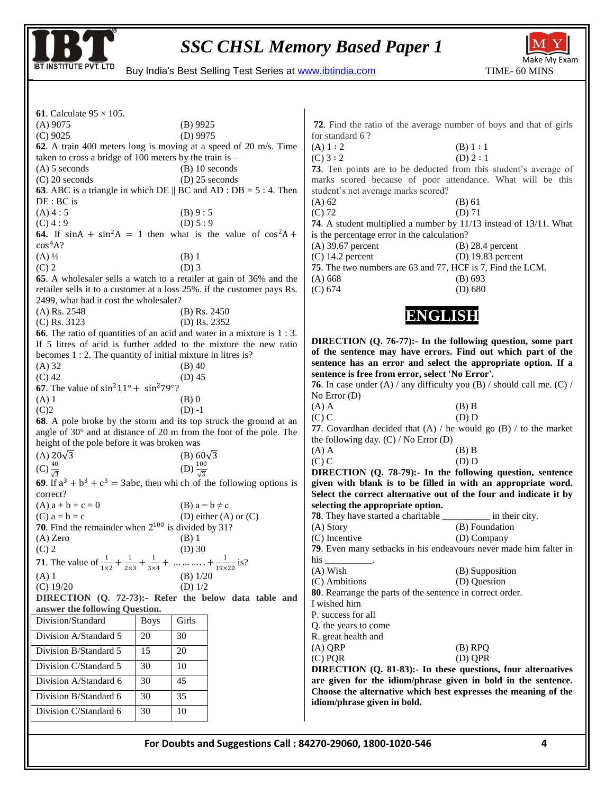



BUY INSTITUTE PVT. LTD Buy India's Best Selling Test Series at www.ibtindia.com TIME- 60 MINS

| <b>61</b> . Calculate $95 \times 105$ .                                                                                   |                                                         |                         |                                                                   |                                                                                                                               |  |  |
|---------------------------------------------------------------------------------------------------------------------------|---------------------------------------------------------|-------------------------|-------------------------------------------------------------------|-------------------------------------------------------------------------------------------------------------------------------|--|--|
| $(A)$ 9075                                                                                                                | $(B)$ 9925                                              |                         |                                                                   | 72. Find the ratio of the average number of boys and that of girls                                                            |  |  |
| $(D)$ 9975<br>$(C)$ 9025                                                                                                  |                                                         |                         | for standard 6?                                                   |                                                                                                                               |  |  |
| 62. A train 400 meters long is moving at a speed of 20 m/s. Time                                                          |                                                         |                         | (A) 1:2<br>(B) 1 : 1                                              |                                                                                                                               |  |  |
| taken to cross a bridge of 100 meters by the train is $-$                                                                 |                                                         |                         | (C) 3:2<br>(D) $2:1$                                              |                                                                                                                               |  |  |
|                                                                                                                           | $(B)$ 10 seconds<br>$(A)$ 5 seconds<br>$(D)$ 25 seconds |                         |                                                                   | 73. Ten points are to be deducted from this student's average of                                                              |  |  |
| $(C)$ 20 seconds<br><b>63</b> . ABC is a triangle in which DE $\parallel$ BC and AD : DB = 5 : 4. Then                    |                                                         |                         |                                                                   | marks scored because of poor attendance. What will be this                                                                    |  |  |
| $DE: BC$ is                                                                                                               |                                                         |                         | student's net average marks scored?<br>$(A)$ 62<br>$(B)$ 61       |                                                                                                                               |  |  |
| (A) 4:5                                                                                                                   | (B) 9:5                                                 |                         | $(C)$ 72                                                          | $(D)$ 71                                                                                                                      |  |  |
| $(C)$ 4 : 9                                                                                                               | (D) 5:9                                                 |                         | 74. A student multiplied a number by 11/13 instead of 13/11. What |                                                                                                                               |  |  |
| 64. If $sinA + sin^2A = 1$ then what is the value of $cos^2A +$                                                           |                                                         |                         | is the percentage error in the calculation?                       |                                                                                                                               |  |  |
| $\cos^4 A?$                                                                                                               |                                                         |                         | $(A)$ 39.67 percent                                               | $(B)$ 28.4 percent                                                                                                            |  |  |
| $(A) \frac{1}{2}$                                                                                                         | $(B)$ 1                                                 |                         | $(C)$ 14.2 percent                                                | $(D)$ 19.83 percent                                                                                                           |  |  |
| $(C)$ 2                                                                                                                   | $(D)$ 3                                                 |                         |                                                                   | 75. The two numbers are 63 and 77, HCF is 7, Find the LCM.                                                                    |  |  |
| 65. A wholesaler sells a watch to a retailer at gain of 36% and the                                                       |                                                         |                         | (A) 668                                                           | (B) 693                                                                                                                       |  |  |
| retailer sells it to a customer at a loss 25%. if the customer pays Rs.<br>2499, what had it cost the wholesaler?         |                                                         |                         | (C) 674                                                           | (D) 680                                                                                                                       |  |  |
| $(A)$ Rs. 2548                                                                                                            | $(B)$ Rs. 2450                                          |                         |                                                                   |                                                                                                                               |  |  |
| $(C)$ Rs. 3123                                                                                                            | (D) Rs. 2352                                            |                         |                                                                   | ENGLISH                                                                                                                       |  |  |
| <b>66</b> . The ratio of quantities of an acid and water in a mixture is 1 : 3.                                           |                                                         |                         |                                                                   |                                                                                                                               |  |  |
| If 5 litres of acid is further added to the mixture the new ratio                                                         |                                                         |                         |                                                                   | DIRECTION (Q. 76-77):- In the following question, some part                                                                   |  |  |
| becomes 1 : 2. The quantity of initial mixture in litres is?                                                              |                                                         |                         |                                                                   | of the sentence may have errors. Find out which part of the                                                                   |  |  |
| $(A)$ 32                                                                                                                  | $(B)$ 40                                                |                         |                                                                   | sentence has an error and select the appropriate option. If a                                                                 |  |  |
| $(C)$ 42                                                                                                                  | $(D)$ 45                                                |                         | sentence is free from error, select 'No Error'.                   | <b>76.</b> In case under (A) / any difficulty you (B) / should call me. (C) /                                                 |  |  |
| <b>67.</b> The value of $\sin^2 11^\circ + \sin^2 79^\circ$ ?                                                             |                                                         |                         | No Error $(D)$                                                    |                                                                                                                               |  |  |
| $(A)$ 1                                                                                                                   | $(B)$ 0                                                 |                         | $(A)$ A                                                           | $(B)$ B                                                                                                                       |  |  |
| (C)2<br>$(D) -1$<br>68. A pole broke by the storm and its top struck the ground at an                                     |                                                         |                         | $(C)$ C                                                           | (D) D                                                                                                                         |  |  |
|                                                                                                                           |                                                         |                         |                                                                   | 77. Govardhan decided that $(A)$ / he would go $(B)$ / to the market                                                          |  |  |
| angle of 30° and at distance of 20 m from the foot of the pole. The<br>height of the pole before it was broken was        |                                                         |                         | the following day. $(C)$ / No Error $(D)$                         |                                                                                                                               |  |  |
| (A) $20\sqrt{3}$<br>(B) $60\sqrt{3}$                                                                                      |                                                         |                         | $(A)$ A                                                           | $(B)$ B                                                                                                                       |  |  |
| (C) $\frac{40}{\sqrt{3}}$<br>(D) $\frac{100}{\sqrt{3}}$                                                                   |                                                         |                         | $(C)$ C                                                           | (D) D                                                                                                                         |  |  |
| 69. If $a^3 + b^3 + c^3 = 3abc$ , then whi ch of the following options is                                                 |                                                         |                         |                                                                   | DIRECTION $(Q. 78-79)$ : In the following question, sentence<br>given with blank is to be filled in with an appropriate word. |  |  |
| correct?                                                                                                                  |                                                         |                         |                                                                   | Select the correct alternative out of the four and indicate it by                                                             |  |  |
| $(A) a + b + c = 0$                                                                                                       | (B) $a = b \neq c$                                      |                         | selecting the appropriate option.                                 |                                                                                                                               |  |  |
| $(C)$ $a = b = c$                                                                                                         |                                                         | (D) either (A) or $(C)$ |                                                                   | <b>78</b> . They have started a charitable _____________ in their city.                                                       |  |  |
| 70. Find the remainder when $2^{100}$ is divided by 31?                                                                   |                                                         |                         | (A) Story                                                         | (B) Foundation                                                                                                                |  |  |
| $(A)$ Zero                                                                                                                | $(B)$ 1                                                 |                         | (C) Incentive                                                     | (D) Company                                                                                                                   |  |  |
| $(C)$ 2                                                                                                                   | $(D)$ 30                                                |                         |                                                                   | 79. Even many setbacks in his endeavours never made him falter in                                                             |  |  |
| <b>71.</b> The value of $\frac{1}{1\times2} + \frac{1}{2\times3} + \frac{1}{3\times4} + \dots + \frac{1}{19\times20}$ is? |                                                         |                         | his __                                                            |                                                                                                                               |  |  |
| $(A)$ 1                                                                                                                   | (B) $1/20$                                              |                         | $(A)$ Wish<br>(C) Ambitions                                       | (B) Supposition<br>(D) Question                                                                                               |  |  |
| (C) 19/20                                                                                                                 | (D) $1/2$                                               |                         | 80. Rearrange the parts of the sentence in correct order.         |                                                                                                                               |  |  |
| DIRECTION (Q. 72-73):- Refer the below data table and                                                                     |                                                         |                         | I wished him                                                      |                                                                                                                               |  |  |
| answer the following Question.                                                                                            |                                                         |                         | P. success for all                                                |                                                                                                                               |  |  |
| Division/Standard                                                                                                         | Girls<br><b>Boys</b>                                    |                         | Q. the years to come                                              |                                                                                                                               |  |  |
| Division A/Standard 5                                                                                                     | 30<br>20                                                |                         | R. great health and                                               |                                                                                                                               |  |  |
| Division B/Standard 5                                                                                                     | 15<br>20                                                |                         | $(A)$ QRP                                                         | $(B)$ RPQ                                                                                                                     |  |  |
| Division C/Standard 5                                                                                                     | 30<br>10                                                |                         | $(C)$ PQR                                                         | (D) QPR<br>DIRECTION (Q. 81-83): In these questions, four alternatives                                                        |  |  |
| Division A/Standard 6                                                                                                     | 45<br>30                                                |                         |                                                                   | are given for the idiom/phrase given in bold in the sentence.                                                                 |  |  |
| Division B/Standard 6                                                                                                     | 30<br>35                                                |                         | idiom/phrase given in bold.                                       | Choose the alternative which best expresses the meaning of the                                                                |  |  |
| Division C/Standard 6                                                                                                     | 10<br>30                                                |                         |                                                                   |                                                                                                                               |  |  |
|                                                                                                                           |                                                         |                         |                                                                   |                                                                                                                               |  |  |
|                                                                                                                           |                                                         |                         |                                                                   |                                                                                                                               |  |  |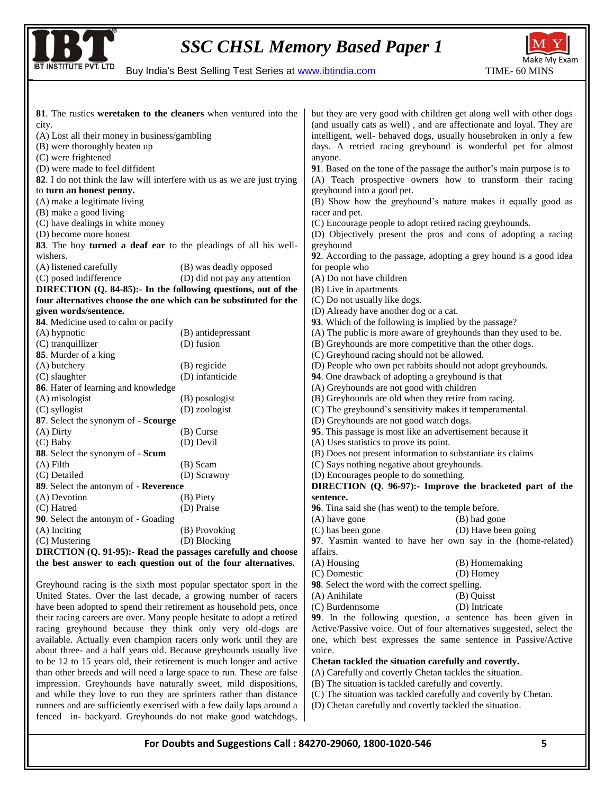



BUY INSTITUTE PVT. LTD Buy India's Best Selling Test Series at www.ibtindia.com TIME- 60 MINS

| 81. The rustics weretaken to the cleaners when ventured into the        |                               | but they are very good with children get along well with other dogs  |                     |  |  |
|-------------------------------------------------------------------------|-------------------------------|----------------------------------------------------------------------|---------------------|--|--|
| city.                                                                   |                               | (and usually cats as well), and are affectionate and loyal. They are |                     |  |  |
| (A) Lost all their money in business/gambling                           |                               | intelligent, well- behaved dogs, usually housebroken in only a few   |                     |  |  |
| (B) were thoroughly beaten up                                           |                               | days. A retried racing greyhound is wonderful pet for almost         |                     |  |  |
| (C) were frightened                                                     |                               | anyone.                                                              |                     |  |  |
| (D) were made to feel diffident                                         |                               | 91. Based on the tone of the passage the author's main purpose is to |                     |  |  |
| 82. I do not think the law will interfere with us as we are just trying |                               | (A) Teach prospective owners how to transform their racing           |                     |  |  |
| to turn an honest penny.                                                |                               | greyhound into a good pet.                                           |                     |  |  |
| (A) make a legitimate living                                            |                               | (B) Show how the greyhound's nature makes it equally good as         |                     |  |  |
| (B) make a good living                                                  |                               | racer and pet.                                                       |                     |  |  |
| (C) have dealings in white money                                        |                               | (C) Encourage people to adopt retired racing greyhounds.             |                     |  |  |
| (D) become more honest                                                  |                               | (D) Objectively present the pros and cons of adopting a racing       |                     |  |  |
| 83. The boy turned a deaf ear to the pleadings of all his well-         |                               | greyhound                                                            |                     |  |  |
| wishers.                                                                |                               | 92. According to the passage, adopting a grey hound is a good idea   |                     |  |  |
| (A) listened carefully                                                  | (B) was deadly opposed        | for people who                                                       |                     |  |  |
| (C) posed indifference                                                  | (D) did not pay any attention | (A) Do not have children                                             |                     |  |  |
| DIRECTION (Q. 84-85):- In the following questions, out of the           |                               | (B) Live in apartments                                               |                     |  |  |
| four alternatives choose the one which can be substituted for the       |                               | (C) Do not usually like dogs.                                        |                     |  |  |
| given words/sentence.                                                   |                               | (D) Already have another dog or a cat.                               |                     |  |  |
| 84. Medicine used to calm or pacify                                     |                               | 93. Which of the following is implied by the passage?                |                     |  |  |
| (A) hypnotic                                                            | (B) antidepressant            | (A) The public is more aware of greyhounds than they used to be.     |                     |  |  |
| (C) tranquillizer                                                       | (D) fusion                    | (B) Greyhounds are more competitive than the other dogs.             |                     |  |  |
| 85. Murder of a king                                                    |                               | (C) Greyhound racing should not be allowed.                          |                     |  |  |
| (A) butchery                                                            | (B) regicide                  | (D) People who own pet rabbits should not adopt greyhounds.          |                     |  |  |
| (D) infanticide<br>(C) slaughter                                        |                               | 94. One drawback of adopting a greyhound is that                     |                     |  |  |
| 86. Hater of learning and knowledge                                     |                               | (A) Greyhounds are not good with children                            |                     |  |  |
| (A) misologist<br>(B) posologist                                        |                               | (B) Greyhounds are old when they retire from racing.                 |                     |  |  |
| (C) syllogist                                                           | (D) zoologist                 | (C) The greyhound's sensitivity makes it temperamental.              |                     |  |  |
| 87. Select the synonym of - Scourge                                     |                               | (D) Greyhounds are not good watch dogs.                              |                     |  |  |
| $(A)$ Dirty                                                             | $(B)$ Curse                   | 95. This passage is most like an advertisement because it            |                     |  |  |
| (C) Baby                                                                | (D) Devil                     | (A) Uses statistics to prove its point.                              |                     |  |  |
| 88. Select the synonym of - Scum                                        |                               | (B) Does not present information to substantiate its claims          |                     |  |  |
| $(A)$ Filth                                                             | (B) Scam                      | (C) Says nothing negative about greyhounds.                          |                     |  |  |
| (C) Detailed                                                            | (D) Scrawny                   | (D) Encourages people to do something.                               |                     |  |  |
| 89. Select the antonym of - Reverence                                   |                               | DIRECTION (Q. 96-97):- Improve the bracketed part of the             |                     |  |  |
| (A) Devotion                                                            | (B) Piety                     | sentence.                                                            |                     |  |  |
| (C) Hatred                                                              | (D) Praise                    | 96. Tina said she (has went) to the temple before.                   |                     |  |  |
| 90. Select the antonym of - Goading                                     |                               | (A) have gone                                                        | (B) had gone        |  |  |
| (A) Inciting                                                            | (B) Provoking                 | (C) has been gone                                                    | (D) Have been going |  |  |
| (C) Mustering                                                           | (D) Blocking                  | 97. Yasmin wanted to have her own say in the (home-related)          |                     |  |  |
| DIRCTION (Q. 91-95):- Read the passages carefully and choose            |                               | affairs.                                                             |                     |  |  |
| the best answer to each question out of the four alternatives.          |                               | (A) Housing                                                          | (B) Homemaking      |  |  |
|                                                                         |                               | (C) Domestic                                                         | (D) Homey           |  |  |
| Greyhound racing is the sixth most popular spectator sport in the       |                               | 98. Select the word with the correct spelling.                       |                     |  |  |
| United States. Over the last decade, a growing number of racers         |                               | (A) Anihilate                                                        | (B) Ouisst          |  |  |

United States. Over the last decade, a growing number of racers have been adopted to spend their retirement as household pets, once their racing careers are over. Many people hesitate to adopt a retired racing greyhound because they think only very old-dogs are available. Actually even champion racers only work until they are about three- and a half years old. Because greyhounds usually live to be 12 to 15 years old, their retirement is much longer and active than other breeds and will need a large space to run. These are false impression. Greyhounds have naturally sweet, mild dispositions, and while they love to run they are sprinters rather than distance runners and are sufficiently exercised with a few daily laps around a fenced –in- backyard. Greyhounds do not make good watchdogs,

**99**. In the following question, a sentence has been given in Active/Passive voice. Out of four alternatives suggested, select the one, which best expresses the same sentence in Passive/Active voice.

#### **Chetan tackled the situation carefully and covertly.**

(A) Carefully and covertly Chetan tackles the situation.

(B) The situation is tackled carefully and covertly.

(C) Burdennsome (D) Intricate

(C) The situation was tackled carefully and covertly by Chetan.

(D) Chetan carefully and covertly tackled the situation.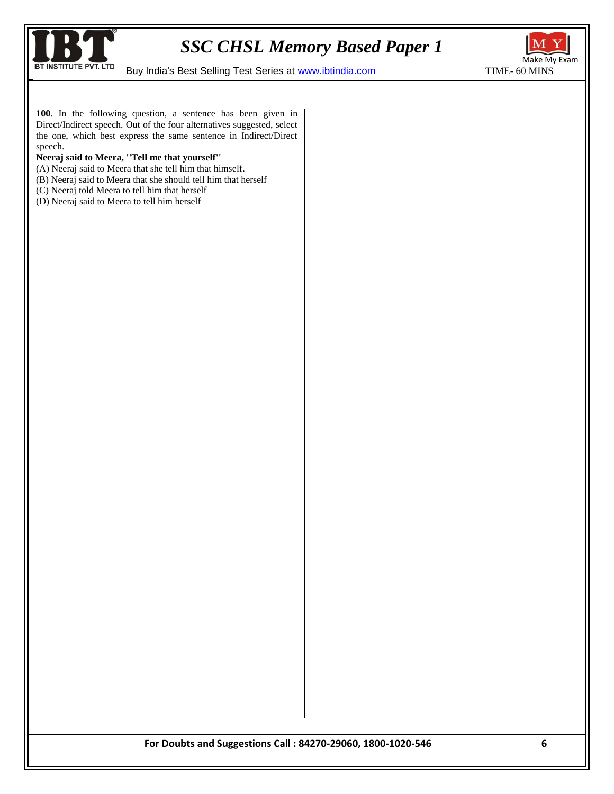

BUY INSTITUTE PVT. LTD Buy India's Best Selling Test Series at www.ibtindia.com TIME- 60 MINS



**100**. In the following question, a sentence has been given in Direct/Indirect speech. Out of the four alternatives suggested, select the one, which best express the same sentence in Indirect/Direct speech.

#### **Neeraj said to Meera, ''Tell me that yourself''**

- (A) Neeraj said to Meera that she tell him that himself.
- (B) Neeraj said to Meera that she should tell him that herself
- (C) Neeraj told Meera to tell him that herself
- (D) Neeraj said to Meera to tell him herself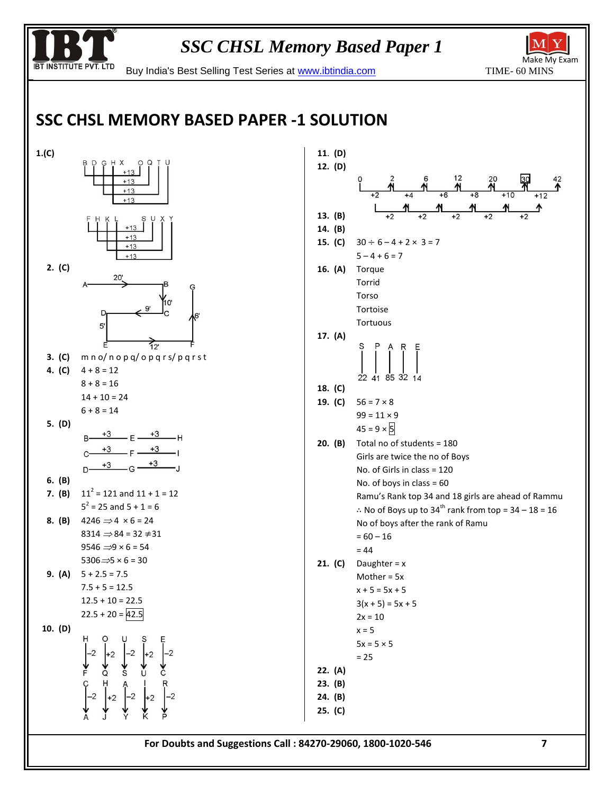

BUY INSTITUTE PVT. LTD Buy India's Best Selling Test Series at www.ibtindia.com TIME- 60 MINS

# **SSC CHSL MEMORY BASED PAPER -1 SOLUTION**



| 11. (D) |                                                                             |
|---------|-----------------------------------------------------------------------------|
| 12. (D) |                                                                             |
|         | $\frac{12}{16}$ $\frac{20}{18}$<br>º                                        |
|         |                                                                             |
| 13. (B) |                                                                             |
| 14. (B) |                                                                             |
| 15. (C) | $30 \div 6 - 4 + 2 \times 3 = 7$                                            |
|         | $5 - 4 + 6 = 7$                                                             |
| 16. (A) | Torque                                                                      |
|         | Torrid                                                                      |
|         | Torso                                                                       |
|         | Tortoise                                                                    |
|         | Tortuous                                                                    |
| 17. (A) |                                                                             |
|         | $\left[\begin{array}{c} A & R & E \\ \hline \end{array}\right]$             |
|         |                                                                             |
|         | 22 41 85 32 14                                                              |
| 18. (C) | $56 = 7 \times 8$                                                           |
| 19. (C) | $99 = 11 \times 9$                                                          |
|         | $45 = 9 \times 5$                                                           |
| 20. (B) | Total no of students = 180                                                  |
|         | Girls are twice the no of Boys                                              |
|         | No. of Girls in class $= 120$                                               |
|         | No. of boys in class = $60$                                                 |
|         | Ramu's Rank top 34 and 18 girls are ahead of Rammu                          |
|         | $\therefore$ No of Boys up to 34 <sup>th</sup> rank from top = 34 - 18 = 16 |
|         | No of boys after the rank of Ramu                                           |
|         | $= 60 - 16$                                                                 |
|         | $= 44$                                                                      |
| 21. (C) | Daughter = $x$                                                              |
|         | Mother = $5x$                                                               |
|         | x + 5 = 5x + 5                                                              |
|         | $3(x + 5) = 5x + 5$                                                         |
|         | $2x = 10$                                                                   |
|         | $x = 5$                                                                     |
|         | $5x = 5 \times 5$<br>$= 25$                                                 |
| 22. (A) |                                                                             |
| 23. (B) |                                                                             |
| 24. (B) |                                                                             |
| 25. (C) |                                                                             |
|         |                                                                             |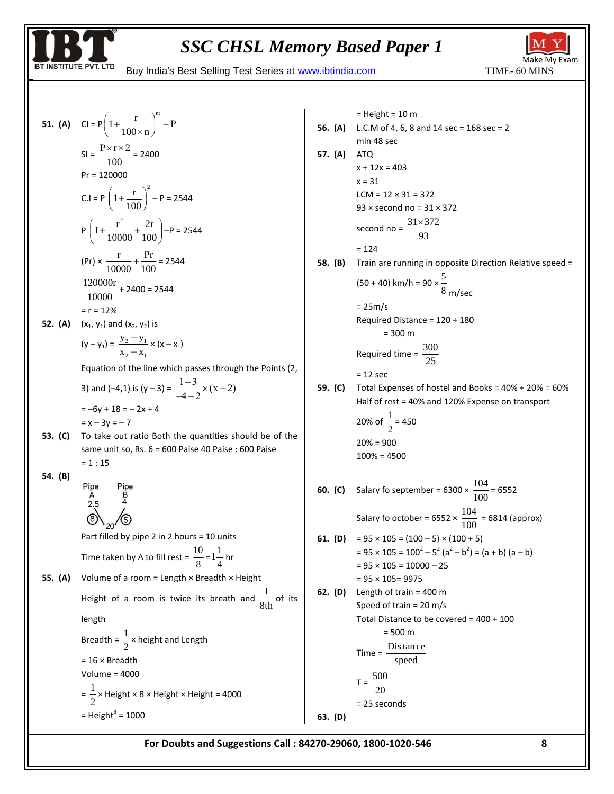

 $=$  Height = 10 m



BUY INSTITUTE PVT. LTD Buy India's Best Selling Test Series at www.ibtindia.com TIME- 60 MINS

51. (A) 
$$
Cl = P \left( 1 + \frac{r}{100 \times n} \right)^{nt} - P
$$
  
\n $Sl = \frac{P \times r \times 2}{100} = 2400$   
\n $Pr = 120000$   
\n $C.l = P \left( 1 + \frac{r}{100} \right)^2 - P = 2544$   
\n $P \left( 1 + \frac{r^2}{10000} + \frac{2r}{1000} \right) - P = 2544$   
\n $(Pr) \times \frac{r}{10000} + \frac{Pr}{100} = 2544$   
\n $\frac{120000r}{10000} + 2400 = 2544$   
\n $= r = 12\%$   
\n52. (A)  $(x_1, y_1)$  and  $(x_2, y_2)$  is  
\n $(y - y_1) = \frac{y_2 - y_1}{x_2 - x_1} \times (x - x_1)$   
\nEquation of the line which passes through the Points (2,  
\n3) and (-4,1) is  $(y - 3) = \frac{1 - 3}{-4 - 2} \times (x - 2)$   
\n $= -6y + 18 = -2x + 4$   
\n $= x - 3y = -7$   
\n53. (C) To take out ratio Both the quantities should be of the  
\nsame units so, Rs. 6 = 600 Paise 40 Paise : 600 Paise  
\n= 1 : 15  
\n54. (B)  $P$  [pe  
\n $\begin{array}{c}\nR \text{B} \\
\text{B} \\
\text{C} \\
\text{Part filled by pipe 2 in 2 hours = 10 units} \\
\text{Time taken by A to fill rest =  $\frac{10}{8} = 1\frac{1}{4}$  hr  
\n55. (A) Volume of a room = Length × Breadth × Height  
\nHeight of a room is twice its breath and  $\frac{1}{8 \text{th}}$  of its  
\nlength  
\nBreadth =  $\frac{1}{2}$  × height and Length  
\n= 16 × Breadth  
\nVolume = 4000  
\n $= \frac{1}{2} \times \text{Height} \times 8 \times \text{Height} \times \text{Height} = 4000$$ 

**56. (A)** L.C.M of 4, 6, 8 and 14 sec = 168 sec = 2 min 48 sec **57. (A)** ATQ  $x + 12x = 403$  $x = 31$  $LCM = 12 \times 31 = 372$ 93 × second no = 31 × 372 second no =  $\frac{31\times372}{80}$ 93  $\times$ = 124 **58. (B)** Train are running in opposite Direction Relative speed =  $(50 + 40)$  km/h = 90  $\times \frac{5}{3}$ 8 m/sec  $= 25m/s$ Required Distance = 120 + 180  $= 300 m$ Required time =  $\frac{300}{25}$ 25  $= 12$  sec **59. (C)** Total Expenses of hostel and Books = 40% + 20% = 60% Half of rest = 40% and 120% Expense on transport 20% of  $\frac{1}{2}$  $\frac{1}{2}$  = 450 20% = 900 100% = 4500 **60. (C)** Salary fo september = 6300  $\times$   $\frac{104}{100}$  $\frac{10}{100}$  = 6552 Salary fo october = 6552  $\times \frac{104}{100}$  $\frac{101}{100}$  = 6814 (approx) **61. (D)** =  $95 \times 105 = (100 - 5) \times (100 + 5)$  $= 95 \times 105 = 100^2 - 5^2 (a^2 - b^2) = (a + b) (a - b)$  $= 95 \times 105 = 10000 - 25$ = 95 × 105= 9975 **62. (D)** Length of train = 400 m Speed of train = 20 m/s Total Distance to be covered = 400 + 100 = 500 m Time =  $\frac{\text{Dis tan ce}}{\text{1}}$ speed  $T = \frac{500}{20}$ 20 = 25 seconds **63. (D)**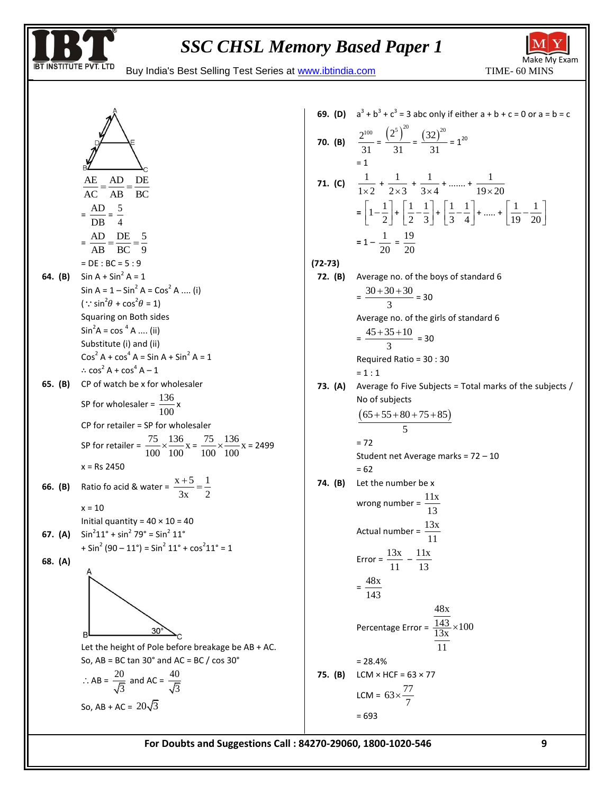

Make My Exam





70. (B) 
$$
\frac{2^{100}}{31} = \frac{(2^5)^{20}}{31} = \frac{(32)^{20}}{31} = 1^{20}
$$
  
\n= 1  
\n71. (C)  $\frac{1}{1 \times 2} + \frac{1}{2 \times 3} + \frac{1}{3 \times 4} + \dots + \frac{1}{19 \times 20}$   
\n $= \left[1 - \frac{1}{2}\right] + \left[\frac{1}{2} - \frac{1}{3}\right] + \left[\frac{1}{3} - \frac{1}{4}\right] + \dots + \left[\frac{1}{19} - \frac{1}{20}\right]$   
\n= 1 -  $\frac{1}{20} = \frac{19}{20}$   
\n(72-73)  
\n72. (B) Average no. of the boys of standard 6  
\n $= \frac{30 + 30 + 30}{3} = 30$   
\nAverage no. of the girls of standard 6  
\n $= \frac{45 + 35 + 10}{3} = 30$   
\nRequired Ratio = 30 : 30  
\n= 1 : 1  
\n73. (A) Average to Five subjects = Total marks of the subjects / No of subjects  
\n $\frac{(65 + 55 + 80 + 75 + 85)}{5}$   
\n= 72  
\nStudent net Average marks = 72 - 10  
\n= 62  
\n74. (B) Let the number be x  
\nwrong number =  $\frac{11x}{13}$   
\n  
\nError =  $\frac{13x}{11} - \frac{11x}{13}$   
\n=  $\frac{48x}{143}$   
\nPercentage Error =  $\frac{13x}{\frac{13x}{13}} \times 100$   
\n= 28.4%  
\n75. (B) LCM × HCF = 63 × 77  
\nLCM = 63 ×  $\frac{77}{7}$   
\n= 693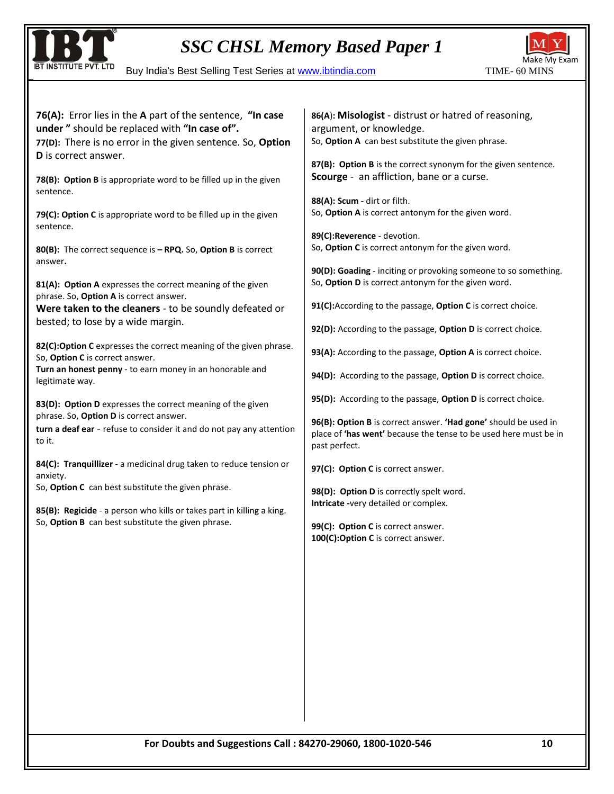

BUY INSTITUTE PVT. LTD Buy India's Best Selling Test Series at www.ibtindia.com TIME- 60 MINS



| 76(A): Error lies in the A part of the sentence, "In case<br>under" should be replaced with "In case of".<br>77(D): There is no error in the given sentence. So, Option<br>D is correct answer.<br>78(B): Option B is appropriate word to be filled up in the given | 86(A): Misologist - distrust or hatred of reasoning,<br>argument, or knowledge.<br>So, Option A can best substitute the given phrase.<br>87(B): Option B is the correct synonym for the given sentence.<br>Scourge - an affliction, bane or a curse. |  |  |  |
|---------------------------------------------------------------------------------------------------------------------------------------------------------------------------------------------------------------------------------------------------------------------|------------------------------------------------------------------------------------------------------------------------------------------------------------------------------------------------------------------------------------------------------|--|--|--|
| sentence.                                                                                                                                                                                                                                                           | 88(A): Scum - dirt or filth.                                                                                                                                                                                                                         |  |  |  |
| 79(C): Option C is appropriate word to be filled up in the given<br>sentence.                                                                                                                                                                                       | So, Option A is correct antonym for the given word.<br>89(C):Reverence - devotion.                                                                                                                                                                   |  |  |  |
| 80(B): The correct sequence is - RPQ. So, Option B is correct<br>answer.                                                                                                                                                                                            | So, Option C is correct antonym for the given word.                                                                                                                                                                                                  |  |  |  |
| 81(A): Option A expresses the correct meaning of the given<br>phrase. So, Option A is correct answer.                                                                                                                                                               | 90(D): Goading - inciting or provoking someone to so something.<br>So, Option D is correct antonym for the given word.                                                                                                                               |  |  |  |
| Were taken to the cleaners - to be soundly defeated or                                                                                                                                                                                                              | 91(C): According to the passage, Option C is correct choice.                                                                                                                                                                                         |  |  |  |
| bested; to lose by a wide margin.                                                                                                                                                                                                                                   | 92(D): According to the passage, Option D is correct choice.                                                                                                                                                                                         |  |  |  |
| 82(C):Option C expresses the correct meaning of the given phrase.<br>So, Option C is correct answer.                                                                                                                                                                | 93(A): According to the passage, Option A is correct choice.                                                                                                                                                                                         |  |  |  |
| Turn an honest penny - to earn money in an honorable and<br>legitimate way.                                                                                                                                                                                         | 94(D): According to the passage, Option D is correct choice.                                                                                                                                                                                         |  |  |  |
| 83(D): Option D expresses the correct meaning of the given<br>phrase. So, Option D is correct answer.<br>turn a deaf ear - refuse to consider it and do not pay any attention<br>to it.                                                                             | 95(D): According to the passage, Option D is correct choice.<br>96(B): Option B is correct answer. 'Had gone' should be used in<br>place of 'has went' because the tense to be used here must be in<br>past perfect.                                 |  |  |  |
| 84(C): Tranquillizer - a medicinal drug taken to reduce tension or<br>anxiety.                                                                                                                                                                                      | 97(C): Option C is correct answer.                                                                                                                                                                                                                   |  |  |  |
| So, Option C can best substitute the given phrase.<br>85(B): Regicide - a person who kills or takes part in killing a king.                                                                                                                                         | 98(D): Option D is correctly spelt word.<br>Intricate -very detailed or complex.                                                                                                                                                                     |  |  |  |
| So, Option B can best substitute the given phrase.                                                                                                                                                                                                                  | 99(C): Option C is correct answer.<br>100(C):Option C is correct answer.                                                                                                                                                                             |  |  |  |
|                                                                                                                                                                                                                                                                     |                                                                                                                                                                                                                                                      |  |  |  |
|                                                                                                                                                                                                                                                                     |                                                                                                                                                                                                                                                      |  |  |  |
|                                                                                                                                                                                                                                                                     |                                                                                                                                                                                                                                                      |  |  |  |
|                                                                                                                                                                                                                                                                     |                                                                                                                                                                                                                                                      |  |  |  |
|                                                                                                                                                                                                                                                                     |                                                                                                                                                                                                                                                      |  |  |  |
|                                                                                                                                                                                                                                                                     |                                                                                                                                                                                                                                                      |  |  |  |
|                                                                                                                                                                                                                                                                     |                                                                                                                                                                                                                                                      |  |  |  |